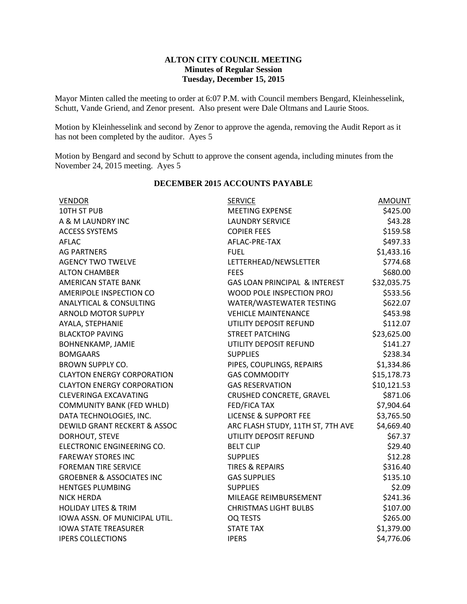## **ALTON CITY COUNCIL MEETING Minutes of Regular Session Tuesday, December 15, 2015**

Mayor Minten called the meeting to order at 6:07 P.M. with Council members Bengard, Kleinhesselink, Schutt, Vande Griend, and Zenor present. Also present were Dale Oltmans and Laurie Stoos.

Motion by Kleinhesselink and second by Zenor to approve the agenda, removing the Audit Report as it has not been completed by the auditor. Ayes 5

Motion by Bengard and second by Schutt to approve the consent agenda, including minutes from the November 24, 2015 meeting. Ayes 5

| <b>VENDOR</b>                        | <b>SERVICE</b>                           | AMOUNT      |
|--------------------------------------|------------------------------------------|-------------|
| 10TH ST PUB                          | <b>MEETING EXPENSE</b>                   | \$425.00    |
| A & M LAUNDRY INC                    | <b>LAUNDRY SERVICE</b>                   | \$43.28     |
| <b>ACCESS SYSTEMS</b>                | <b>COPIER FEES</b>                       | \$159.58    |
| <b>AFLAC</b>                         | AFLAC-PRE-TAX                            | \$497.33    |
| <b>AG PARTNERS</b>                   | <b>FUEL</b>                              | \$1,433.16  |
| <b>AGENCY TWO TWELVE</b>             | LETTERHEAD/NEWSLETTER                    | \$774.68    |
| <b>ALTON CHAMBER</b>                 | <b>FEES</b>                              | \$680.00    |
| <b>AMERICAN STATE BANK</b>           | <b>GAS LOAN PRINCIPAL &amp; INTEREST</b> | \$32,035.75 |
| AMERIPOLE INSPECTION CO              | WOOD POLE INSPECTION PROJ                | \$533.56    |
| <b>ANALYTICAL &amp; CONSULTING</b>   | WATER/WASTEWATER TESTING                 | \$622.07    |
| <b>ARNOLD MOTOR SUPPLY</b>           | <b>VEHICLE MAINTENANCE</b>               | \$453.98    |
| AYALA, STEPHANIE                     | UTILITY DEPOSIT REFUND                   | \$112.07    |
| <b>BLACKTOP PAVING</b>               | <b>STREET PATCHING</b>                   | \$23,625.00 |
| <b>BOHNENKAMP, JAMIE</b>             | UTILITY DEPOSIT REFUND                   | \$141.27    |
| <b>BOMGAARS</b>                      | <b>SUPPLIES</b>                          | \$238.34    |
| <b>BROWN SUPPLY CO.</b>              | PIPES, COUPLINGS, REPAIRS                | \$1,334.86  |
| <b>CLAYTON ENERGY CORPORATION</b>    | <b>GAS COMMODITY</b>                     | \$15,178.73 |
| <b>CLAYTON ENERGY CORPORATION</b>    | <b>GAS RESERVATION</b>                   | \$10,121.53 |
| <b>CLEVERINGA EXCAVATING</b>         | CRUSHED CONCRETE, GRAVEL                 | \$871.06    |
| <b>COMMUNITY BANK (FED WHLD)</b>     | FED/FICA TAX                             | \$7,904.64  |
| DATA TECHNOLOGIES, INC.              | <b>LICENSE &amp; SUPPORT FEE</b>         | \$3,765.50  |
| DEWILD GRANT RECKERT & ASSOC         | ARC FLASH STUDY, 11TH ST, 7TH AVE        | \$4,669.40  |
| DORHOUT, STEVE                       | UTILITY DEPOSIT REFUND                   | \$67.37     |
| ELECTRONIC ENGINEERING CO.           | <b>BELT CLIP</b>                         | \$29.40     |
| <b>FAREWAY STORES INC</b>            | <b>SUPPLIES</b>                          | \$12.28     |
| <b>FOREMAN TIRE SERVICE</b>          | <b>TIRES &amp; REPAIRS</b>               | \$316.40    |
| <b>GROEBNER &amp; ASSOCIATES INC</b> | <b>GAS SUPPLIES</b>                      | \$135.10    |
| <b>HENTGES PLUMBING</b>              | <b>SUPPLIES</b>                          | \$2.09      |
| <b>NICK HERDA</b>                    | MILEAGE REIMBURSEMENT                    | \$241.36    |
| <b>HOLIDAY LITES &amp; TRIM</b>      | <b>CHRISTMAS LIGHT BULBS</b>             | \$107.00    |
| IOWA ASSN. OF MUNICIPAL UTIL.        | OQ TESTS                                 | \$265.00    |
| <b>IOWA STATE TREASURER</b>          | <b>STATE TAX</b>                         | \$1,379.00  |
| <b>IPERS COLLECTIONS</b>             | <b>IPERS</b>                             | \$4,776.06  |

## **DECEMBER 2015 ACCOUNTS PAYABLE**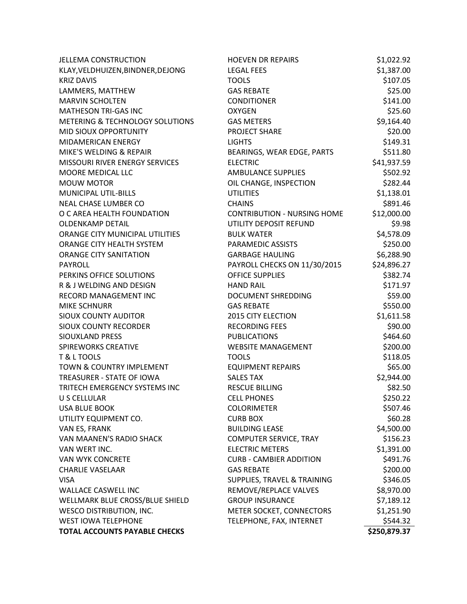| <b>JELLEMA CONSTRUCTION</b>                | <b>HOEVEN DR REPAIRS</b>           | \$1,022.92   |
|--------------------------------------------|------------------------------------|--------------|
| KLAY, VELDHUIZEN, BINDNER, DEJONG          | <b>LEGAL FEES</b>                  | \$1,387.00   |
| <b>KRIZ DAVIS</b>                          | <b>TOOLS</b>                       | \$107.05     |
| LAMMERS, MATTHEW                           | <b>GAS REBATE</b>                  | \$25.00      |
| <b>MARVIN SCHOLTEN</b>                     | <b>CONDITIONER</b>                 | \$141.00     |
| <b>MATHESON TRI-GAS INC</b>                | <b>OXYGEN</b>                      | \$25.60      |
| <b>METERING &amp; TECHNOLOGY SOLUTIONS</b> | <b>GAS METERS</b>                  | \$9,164.40   |
| MID SIOUX OPPORTUNITY                      | PROJECT SHARE                      | \$20.00      |
| <b>MIDAMERICAN ENERGY</b>                  | <b>LIGHTS</b>                      | \$149.31     |
| MIKE'S WELDING & REPAIR                    | BEARINGS, WEAR EDGE, PARTS         | \$511.80     |
| <b>MISSOURI RIVER ENERGY SERVICES</b>      | <b>ELECTRIC</b>                    | \$41,937.59  |
| MOORE MEDICAL LLC                          | <b>AMBULANCE SUPPLIES</b>          | \$502.92     |
| <b>MOUW MOTOR</b>                          | OIL CHANGE, INSPECTION             | \$282.44     |
| <b>MUNICIPAL UTIL-BILLS</b>                | <b>UTILITIES</b>                   | \$1,138.01   |
| NEAL CHASE LUMBER CO                       | <b>CHAINS</b>                      | \$891.46     |
| O C AREA HEALTH FOUNDATION                 | <b>CONTRIBUTION - NURSING HOME</b> | \$12,000.00  |
| <b>OLDENKAMP DETAIL</b>                    | UTILITY DEPOSIT REFUND             | \$9.98       |
| ORANGE CITY MUNICIPAL UTILITIES            | <b>BULK WATER</b>                  | \$4,578.09   |
| ORANGE CITY HEALTH SYSTEM                  | PARAMEDIC ASSISTS                  | \$250.00     |
| ORANGE CITY SANITATION                     | <b>GARBAGE HAULING</b>             | \$6,288.90   |
| <b>PAYROLL</b>                             | PAYROLL CHECKS ON 11/30/2015       | \$24,896.27  |
| PERKINS OFFICE SOLUTIONS                   | <b>OFFICE SUPPLIES</b>             | \$382.74     |
| R & J WELDING AND DESIGN                   | <b>HAND RAIL</b>                   | \$171.97     |
| RECORD MANAGEMENT INC                      | <b>DOCUMENT SHREDDING</b>          | \$59.00      |
| <b>MIKE SCHNURR</b>                        | <b>GAS REBATE</b>                  | \$550.00     |
| <b>SIOUX COUNTY AUDITOR</b>                | <b>2015 CITY ELECTION</b>          | \$1,611.58   |
| <b>SIOUX COUNTY RECORDER</b>               | <b>RECORDING FEES</b>              | \$90.00      |
| SIOUXLAND PRESS                            | <b>PUBLICATIONS</b>                | \$464.60     |
| <b>SPIREWORKS CREATIVE</b>                 | <b>WEBSITE MANAGEMENT</b>          | \$200.00     |
| T & L TOOLS                                | <b>TOOLS</b>                       | \$118.05     |
| TOWN & COUNTRY IMPLEMENT                   | <b>EQUIPMENT REPAIRS</b>           | \$65.00      |
| TREASURER - STATE OF IOWA                  | <b>SALES TAX</b>                   | \$2,944.00   |
| TRITECH EMERGENCY SYSTEMS INC              | <b>RESCUE BILLING</b>              | \$82.50      |
| U S CELLULAR                               | <b>CELL PHONES</b>                 | \$250.22     |
| <b>USA BLUE BOOK</b>                       | <b>COLORIMETER</b>                 | \$507.46     |
| UTILITY EQUIPMENT CO.                      | <b>CURB BOX</b>                    | \$60.28      |
| VAN ES, FRANK                              | <b>BUILDING LEASE</b>              | \$4,500.00   |
| VAN MAANEN'S RADIO SHACK                   | <b>COMPUTER SERVICE, TRAY</b>      | \$156.23     |
| VAN WERT INC.                              | <b>ELECTRIC METERS</b>             | \$1,391.00   |
| <b>VAN WYK CONCRETE</b>                    | <b>CURB - CAMBIER ADDITION</b>     | \$491.76     |
| <b>CHARLIE VASELAAR</b>                    | <b>GAS REBATE</b>                  | \$200.00     |
| <b>VISA</b>                                | SUPPLIES, TRAVEL & TRAINING        | \$346.05     |
| <b>WALLACE CASWELL INC</b>                 | REMOVE/REPLACE VALVES              | \$8,970.00   |
| WELLMARK BLUE CROSS/BLUE SHIELD            | <b>GROUP INSURANCE</b>             | \$7,189.12   |
| <b>WESCO DISTRIBUTION, INC.</b>            | METER SOCKET, CONNECTORS           | \$1,251.90   |
| <b>WEST IOWA TELEPHONE</b>                 | TELEPHONE, FAX, INTERNET           | \$544.32     |
| <b>TOTAL ACCOUNTS PAYABLE CHECKS</b>       |                                    | \$250,879.37 |